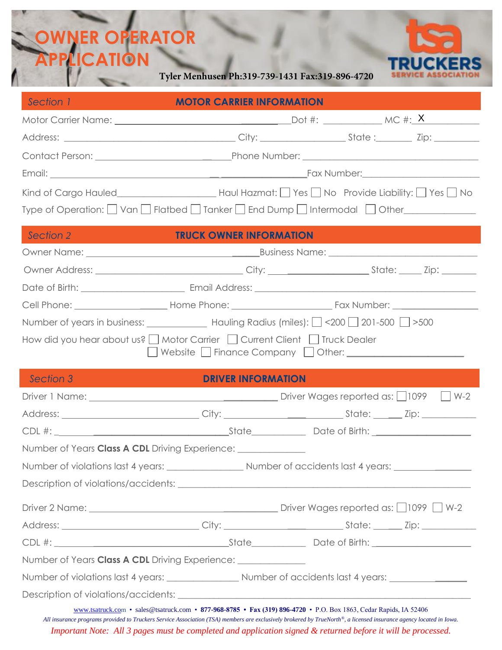## ۱ **OWNER OPERATOR APPLICATION**

**Tyler Menhusen Ph:319-739-1431 Fax:319-896-4720**



| Section 1                                                                                                                                                                                                                                           | <b>MOTOR CARRIER INFORMATION</b>                                                                         |  |  |  |  |
|-----------------------------------------------------------------------------------------------------------------------------------------------------------------------------------------------------------------------------------------------------|----------------------------------------------------------------------------------------------------------|--|--|--|--|
|                                                                                                                                                                                                                                                     |                                                                                                          |  |  |  |  |
|                                                                                                                                                                                                                                                     |                                                                                                          |  |  |  |  |
|                                                                                                                                                                                                                                                     |                                                                                                          |  |  |  |  |
|                                                                                                                                                                                                                                                     |                                                                                                          |  |  |  |  |
|                                                                                                                                                                                                                                                     | Kind of Cargo Hauled___________________________Haul Hazmat: __ Yes __ No Provide Liability: __ Yes __ No |  |  |  |  |
| Type of Operation: □ Van □ Flatbed □ Tanker □ End Dump □ Intermodal □ Other___________                                                                                                                                                              |                                                                                                          |  |  |  |  |
| Section 2                                                                                                                                                                                                                                           | <b>TRUCK OWNER INFORMATION</b>                                                                           |  |  |  |  |
|                                                                                                                                                                                                                                                     |                                                                                                          |  |  |  |  |
|                                                                                                                                                                                                                                                     |                                                                                                          |  |  |  |  |
|                                                                                                                                                                                                                                                     |                                                                                                          |  |  |  |  |
|                                                                                                                                                                                                                                                     |                                                                                                          |  |  |  |  |
| Number of years in business: ________________ Hauling Radius (miles): 200 201-500 2>500                                                                                                                                                             |                                                                                                          |  |  |  |  |
| How did you hear about us?   Motor Carrier   Current Client   Truck Dealer<br><b>Section 3</b><br><b>DRIVER INFORMATION</b><br><b>Contract Contract Contract Contract Contract Contract Contract Contract Contract Contract Contract Contract C</b> |                                                                                                          |  |  |  |  |
| Driver 1 Name: <u>New York: Name:</u> Niver Wages reported as: 1099 M-2                                                                                                                                                                             |                                                                                                          |  |  |  |  |
|                                                                                                                                                                                                                                                     |                                                                                                          |  |  |  |  |
|                                                                                                                                                                                                                                                     |                                                                                                          |  |  |  |  |
| Number of Years Class A CDL Driving Experience: ________________________________                                                                                                                                                                    |                                                                                                          |  |  |  |  |
|                                                                                                                                                                                                                                                     |                                                                                                          |  |  |  |  |
|                                                                                                                                                                                                                                                     |                                                                                                          |  |  |  |  |
|                                                                                                                                                                                                                                                     |                                                                                                          |  |  |  |  |
|                                                                                                                                                                                                                                                     |                                                                                                          |  |  |  |  |
|                                                                                                                                                                                                                                                     |                                                                                                          |  |  |  |  |
| Number of Years Class A CDL Driving Experience: ______________                                                                                                                                                                                      |                                                                                                          |  |  |  |  |
|                                                                                                                                                                                                                                                     |                                                                                                          |  |  |  |  |
|                                                                                                                                                                                                                                                     |                                                                                                          |  |  |  |  |
| www.tsatruck.com • sales@tsatruck.com • 877-968-8785 • Fax (319) 896-4720 • P.O. Box 1863, Cedar Rapids, IA 52406                                                                                                                                   |                                                                                                          |  |  |  |  |

*All insurance programs provided to Truckers Service Association (TSA) members are exclusively brokered by TrueNorth®, a licensed insurance agency located in Iowa. Important Note: All 3 pages must be completed and application signed & returned before it will be processed.*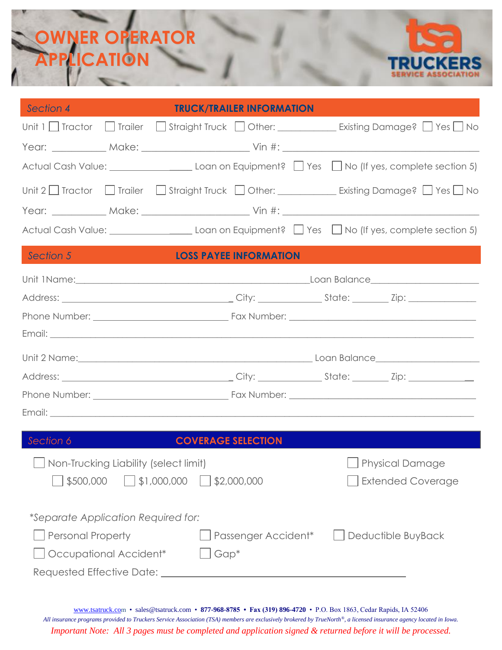# **OWNER OPERATOR APPLICATION**



| Section 4                                                         | <b>TRUCK/TRAILER INFORMATION</b> |                                                                                             |  |  |
|-------------------------------------------------------------------|----------------------------------|---------------------------------------------------------------------------------------------|--|--|
|                                                                   |                                  | Unit 1   Tractor   Trailer   Straight Truck   Other: __________ Existing Damage?   Yes   No |  |  |
|                                                                   |                                  |                                                                                             |  |  |
|                                                                   |                                  |                                                                                             |  |  |
|                                                                   |                                  |                                                                                             |  |  |
|                                                                   |                                  |                                                                                             |  |  |
|                                                                   |                                  |                                                                                             |  |  |
| Section 5                                                         | <b>LOSS PAYEE INFORMATION</b>    |                                                                                             |  |  |
|                                                                   |                                  |                                                                                             |  |  |
|                                                                   |                                  |                                                                                             |  |  |
|                                                                   |                                  |                                                                                             |  |  |
|                                                                   |                                  |                                                                                             |  |  |
|                                                                   |                                  |                                                                                             |  |  |
|                                                                   |                                  |                                                                                             |  |  |
|                                                                   |                                  |                                                                                             |  |  |
|                                                                   |                                  |                                                                                             |  |  |
| Section 6                                                         | <b>COVERAGE SELECTION</b>        |                                                                                             |  |  |
| □ Non-Trucking Liability (select limit)<br><b>Physical Damage</b> |                                  |                                                                                             |  |  |
| \$500,000                                                         | \$1,000,000<br>\$2,000,000       | <b>Extended Coverage</b>                                                                    |  |  |
|                                                                   |                                  |                                                                                             |  |  |
| *Separate Application Required for:                               |                                  |                                                                                             |  |  |
| <b>Personal Property</b>                                          | Passenger Accident*              | Deductible BuyBack                                                                          |  |  |
| Occupational Accident*                                            | $Gap*$                           |                                                                                             |  |  |
|                                                                   |                                  |                                                                                             |  |  |

[www.tsatruck.co](http://www.tsatruck.co/)m • sales@tsatruck.com • **877-968-8785 • Fax (319) 896-4720** • P.O. Box 1863, Cedar Rapids, IA 52406 *All insurance programs provided to Truckers Service Association (TSA) members are exclusively brokered by TrueNorth®, a licensed insurance agency located in Iowa. Important Note: All 3 pages must be completed and application signed & returned before it will be processed.*